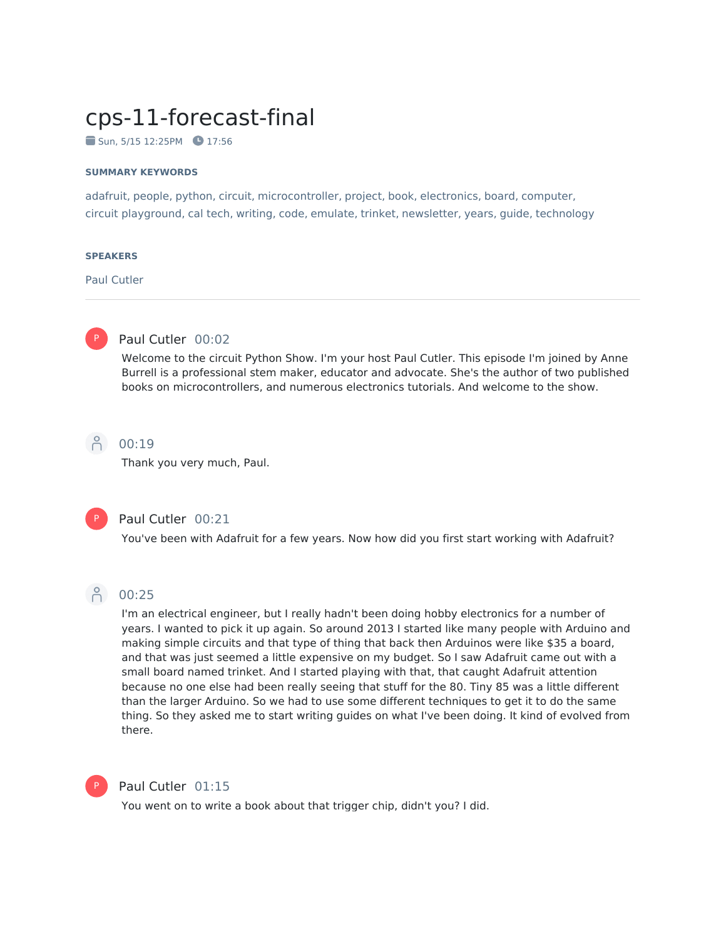# cps-11-forecast-final

 $\blacksquare$  Sun, 5/15 12:25PM  $\blacksquare$  17:56

#### **SUMMARY KEYWORDS**

adafruit, people, python, circuit, microcontroller, project, book, electronics, board, computer, circuit playground, cal tech, writing, code, emulate, trinket, newsletter, years, guide, technology

#### **SPEAKERS**

Paul Cutler



### Paul Cutler 00:02

Welcome to the circuit Python Show. I'm your host Paul Cutler. This episode I'm joined by Anne Burrell is a professional stem maker, educator and advocate. She's the author of two published books on microcontrollers, and numerous electronics tutorials. And welcome to the show.



Thank you very much, Paul.



#### Paul Cutler 00:21

You've been with Adafruit for a few years. Now how did you first start working with Adafruit?



### 8 00:25

I'm an electrical engineer, but I really hadn't been doing hobby electronics for a number of years. I wanted to pick it up again. So around 2013 I started like many people with Arduino and making simple circuits and that type of thing that back then Arduinos were like \$35 a board, and that was just seemed a little expensive on my budget. So I saw Adafruit came out with a small board named trinket. And I started playing with that, that caught Adafruit attention because no one else had been really seeing that stuff for the 80. Tiny 85 was a little different than the larger Arduino. So we had to use some different techniques to get it to do the same thing. So they asked me to start writing guides on what I've been doing. It kind of evolved from there.



#### Paul Cutler 01:15

You went on to write a book about that trigger chip, didn't you? I did.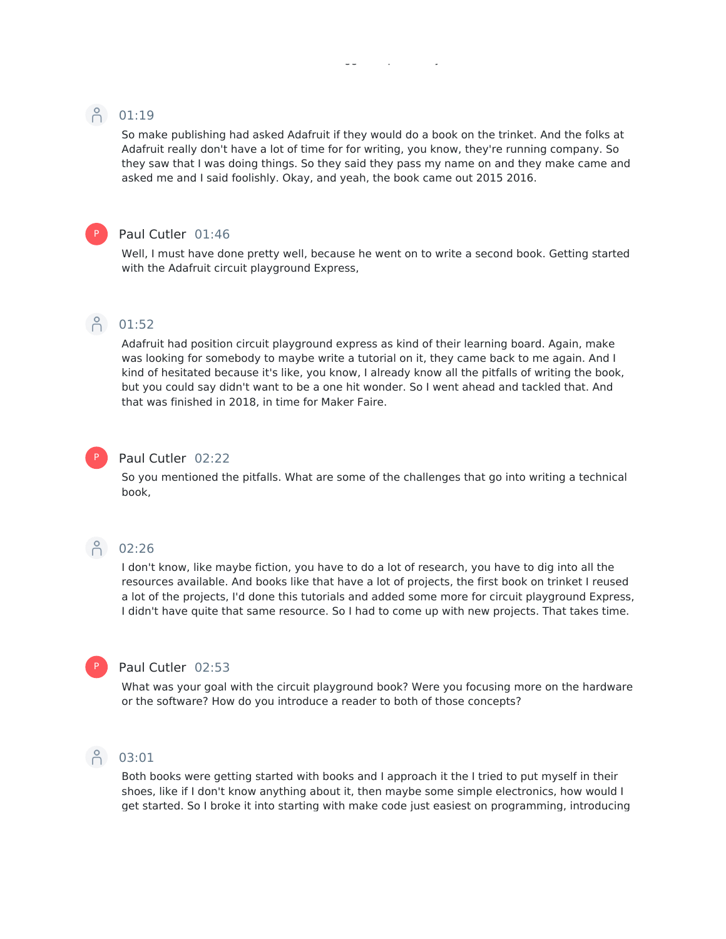### **8** 01:19

So make publishing had asked Adafruit if they would do a book on the trinket. And the folks at Adafruit really don't have a lot of time for for writing, you know, they're running company. So they saw that I was doing things. So they said they pass my name on and they make came and asked me and I said foolishly. Okay, and yeah, the book came out 2015 2016.

### P

#### Paul Cutler 01:46

Well, I must have done pretty well, because he went on to write a second book. Getting started with the Adafruit circuit playground Express,

# $\beta$  01:52

Adafruit had position circuit playground express as kind of their learning board. Again, make was looking for somebody to maybe write a tutorial on it, they came back to me again. And I kind of hesitated because it's like, you know, I already know all the pitfalls of writing the book, but you could say didn't want to be a one hit wonder. So I went ahead and tackled that. And that was finished in 2018, in time for Maker Faire.

### P

### Paul Cutler 02:22

So you mentioned the pitfalls. What are some of the challenges that go into writing a technical book,

### $\bigcap_{1}^{6}$  02:26

I don't know, like maybe fiction, you have to do a lot of research, you have to dig into all the resources available. And books like that have a lot of projects, the first book on trinket I reused a lot of the projects, I'd done this tutorials and added some more for circuit playground Express, I didn't have quite that same resource. So I had to come up with new projects. That takes time.

### P

### Paul Cutler 02:53

What was your goal with the circuit playground book? Were you focusing more on the hardware or the software? How do you introduce a reader to both of those concepts?

### 03:01

Both books were getting started with books and I approach it the I tried to put myself in their shoes, like if I don't know anything about it, then maybe some simple electronics, how would I get started. So I broke it into starting with make code just easiest on programming, introducing

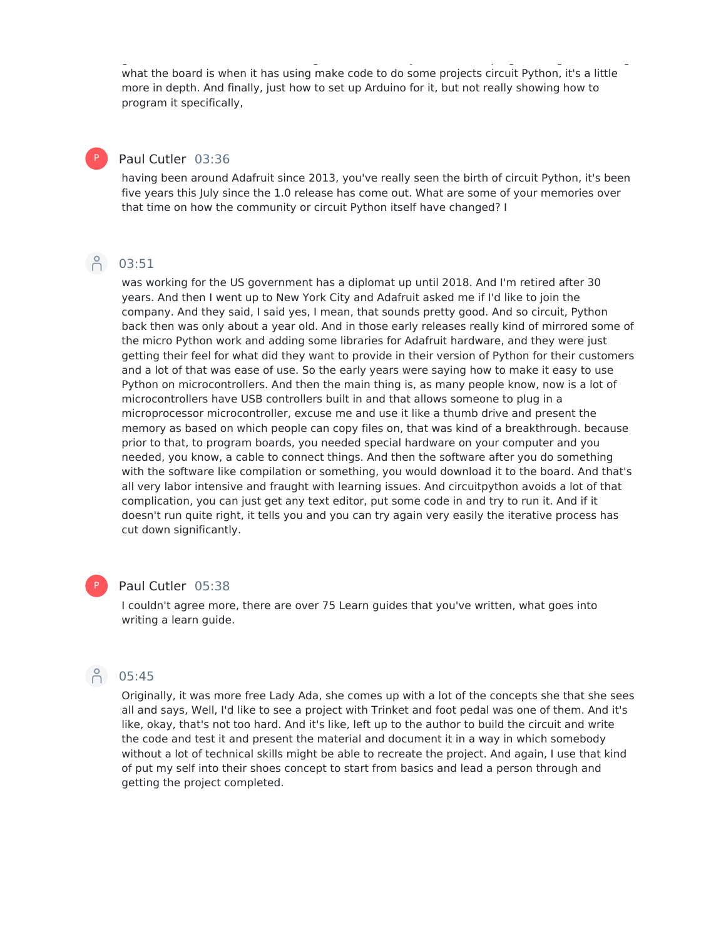get started. So I broke it into starting with make code just easiest on programming, introducing what the board is when it has using make code to do some projects circuit Python, it's a little more in depth. And finally, just how to set up Arduino for it, but not really showing how to program it specifically,

#### Paul Cutler 03:36

having been around Adafruit since 2013, you've really seen the birth of circuit Python, it's been five years this July since the 1.0 release has come out. What are some of your memories over that time on how the community or circuit Python itself have changed? I

### A 03:51

P

was working for the US government has a diplomat up until 2018. And I'm retired after 30 years. And then I went up to New York City and Adafruit asked me if I'd like to join the company. And they said, I said yes, I mean, that sounds pretty good. And so circuit, Python back then was only about a year old. And in those early releases really kind of mirrored some of the micro Python work and adding some libraries for Adafruit hardware, and they were just getting their feel for what did they want to provide in their version of Python for their customers and a lot of that was ease of use. So the early years were saying how to make it easy to use Python on microcontrollers. And then the main thing is, as many people know, now is a lot of microcontrollers have USB controllers built in and that allows someone to plug in a microprocessor microcontroller, excuse me and use it like a thumb drive and present the memory as based on which people can copy files on, that was kind of a breakthrough. because prior to that, to program boards, you needed special hardware on your computer and you needed, you know, a cable to connect things. And then the software after you do something with the software like compilation or something, you would download it to the board. And that's all very labor intensive and fraught with learning issues. And circuitpython avoids a lot of that complication, you can just get any text editor, put some code in and try to run it. And if it doesn't run quite right, it tells you and you can try again very easily the iterative process has cut down significantly.

### P

#### Paul Cutler 05:38

I couldn't agree more, there are over 75 Learn guides that you've written, what goes into writing a learn guide.

# 05:45

Originally, it was more free Lady Ada, she comes up with a lot of the concepts she that she sees all and says, Well, I'd like to see a project with Trinket and foot pedal was one of them. And it's like, okay, that's not too hard. And it's like, left up to the author to build the circuit and write the code and test it and present the material and document it in a way in which somebody without a lot of technical skills might be able to recreate the project. And again, I use that kind of put my self into their shoes concept to start from basics and lead a person through and getting the project completed.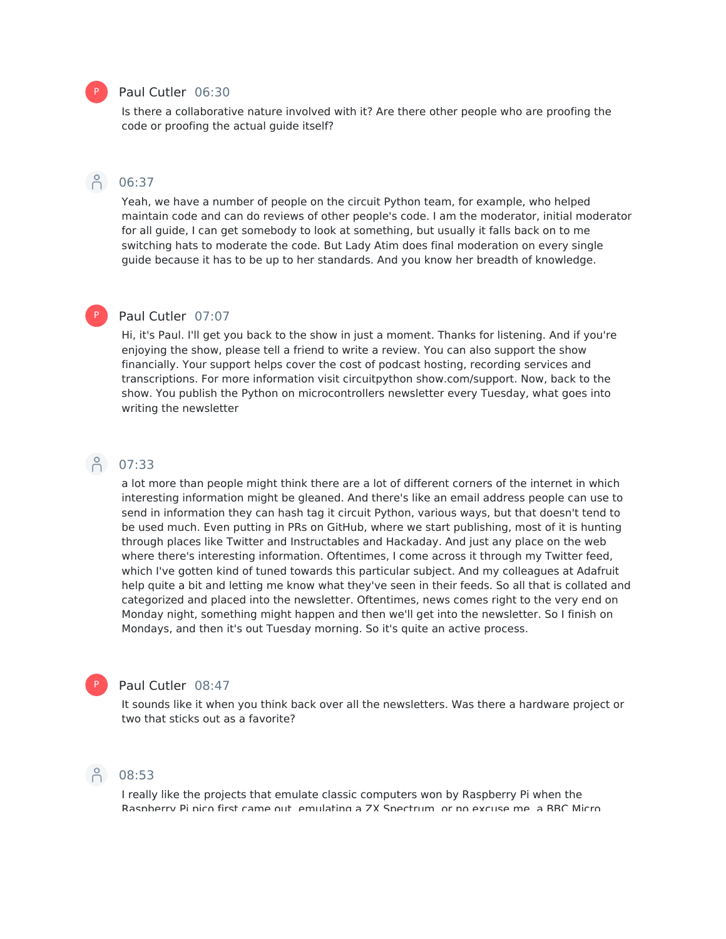#### Paul Cutler 06:30

Is there a collaborative nature involved with it? Are there other people who are proofing the code or proofing the actual guide itself?

#### A 06:37

Yeah, we have a number of people on the circuit Python team, for example, who helped maintain code and can do reviews of other people's code. I am the moderator, initial moderator for all guide, I can get somebody to look at something, but usually it falls back on to me switching hats to moderate the code. But Lady Atim does final moderation on every single guide because it has to be up to her standards. And you know her breadth of knowledge.

#### Paul Cutler 07:07

Hi, it's Paul. I'll get you back to the show in just a moment. Thanks for listening. And if you're enjoying the show, please tell a friend to write a review. You can also support the show financially. Your support helps cover the cost of podcast hosting, recording services and transcriptions. For more information visit circuitpython show.com/support. Now, back to the show. You publish the Python on microcontrollers newsletter every Tuesday, what goes into writing the newsletter

### 07:33

P

a lot more than people might think there are a lot of different corners of the internet in which interesting information might be gleaned. And there's like an email address people can use to send in information they can hash tag it circuit Python, various ways, but that doesn't tend to be used much. Even putting in PRs on GitHub, where we start publishing, most of it is hunting through places like Twitter and Instructables and Hackaday. And just any place on the web where there's interesting information. Oftentimes, I come across it through my Twitter feed, which I've gotten kind of tuned towards this particular subject. And my colleagues at Adafruit help quite a bit and letting me know what they've seen in their feeds. So all that is collated and categorized and placed into the newsletter. Oftentimes, news comes right to the very end on Monday night, something might happen and then we'll get into the newsletter. So I finish on Mondays, and then it's out Tuesday morning. So it's quite an active process.

#### Paul Cutler 08:47

It sounds like it when you think back over all the newsletters. Was there a hardware project or two that sticks out as a favorite?



P

### A 08:53

I really like the projects that emulate classic computers won by Raspberry Pi when the Raspberry Pi pico first came out, emulating a ZX Spectrum, or no excuse me, a BBC Micro

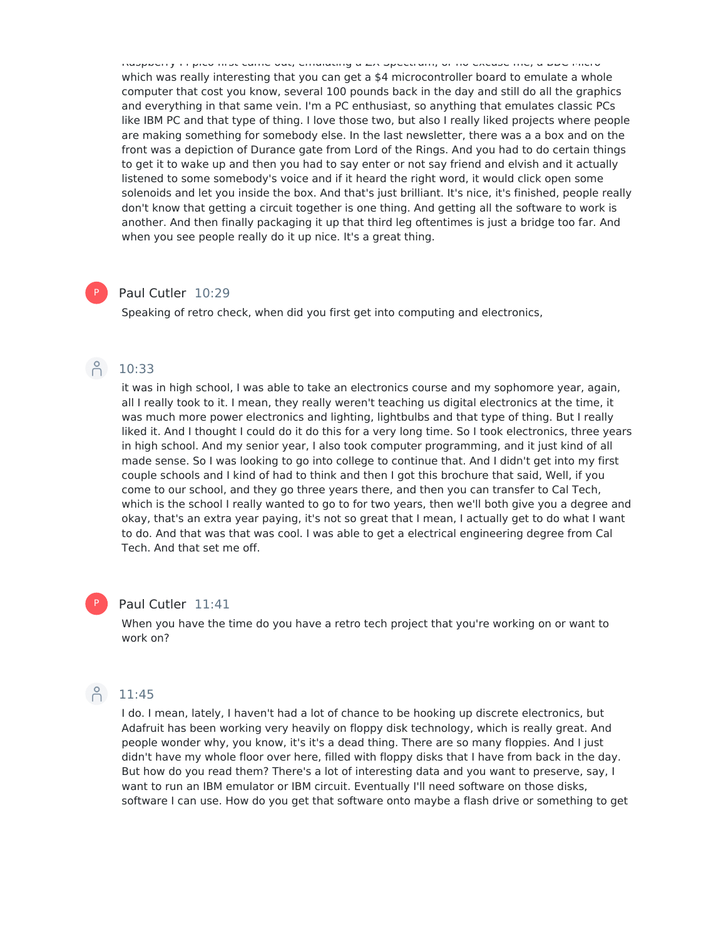Raspberry Pi pico first came out, emulating a ZX Spectrum, or no excuse me, a BBC Micro which was really interesting that you can get a \$4 microcontroller board to emulate a whole computer that cost you know, several 100 pounds back in the day and still do all the graphics and everything in that same vein. I'm a PC enthusiast, so anything that emulates classic PCs like IBM PC and that type of thing. I love those two, but also I really liked projects where people are making something for somebody else. In the last newsletter, there was a a box and on the front was a depiction of Durance gate from Lord of the Rings. And you had to do certain things to get it to wake up and then you had to say enter or not say friend and elvish and it actually listened to some somebody's voice and if it heard the right word, it would click open some solenoids and let you inside the box. And that's just brilliant. It's nice, it's finished, people really don't know that getting a circuit together is one thing. And getting all the software to work is another. And then finally packaging it up that third leg oftentimes is just a bridge too far. And when you see people really do it up nice. It's a great thing.

#### Paul Cutler 10:29 P

Speaking of retro check, when did you first get into computing and electronics,



it was in high school, I was able to take an electronics course and my sophomore year, again, all I really took to it. I mean, they really weren't teaching us digital electronics at the time, it was much more power electronics and lighting, lightbulbs and that type of thing. But I really liked it. And I thought I could do it do this for a very long time. So I took electronics, three years in high school. And my senior year, I also took computer programming, and it just kind of all made sense. So I was looking to go into college to continue that. And I didn't get into my first couple schools and I kind of had to think and then I got this brochure that said, Well, if you come to our school, and they go three years there, and then you can transfer to Cal Tech, which is the school I really wanted to go to for two years, then we'll both give you a degree and okay, that's an extra year paying, it's not so great that I mean, I actually get to do what I want to do. And that was that was cool. I was able to get a electrical engineering degree from Cal Tech. And that set me off.

### Paul Cutler 11:41

When you have the time do you have a retro tech project that you're working on or want to work on?

# $\beta$  11:45

P

I do. I mean, lately, I haven't had a lot of chance to be hooking up discrete electronics, but Adafruit has been working very heavily on floppy disk technology, which is really great. And people wonder why, you know, it's it's a dead thing. There are so many floppies. And I just didn't have my whole floor over here, filled with floppy disks that I have from back in the day. But how do you read them? There's a lot of interesting data and you want to preserve, say, I want to run an IBM emulator or IBM circuit. Eventually I'll need software on those disks, software I can use. How do you get that software onto maybe a flash drive or something to get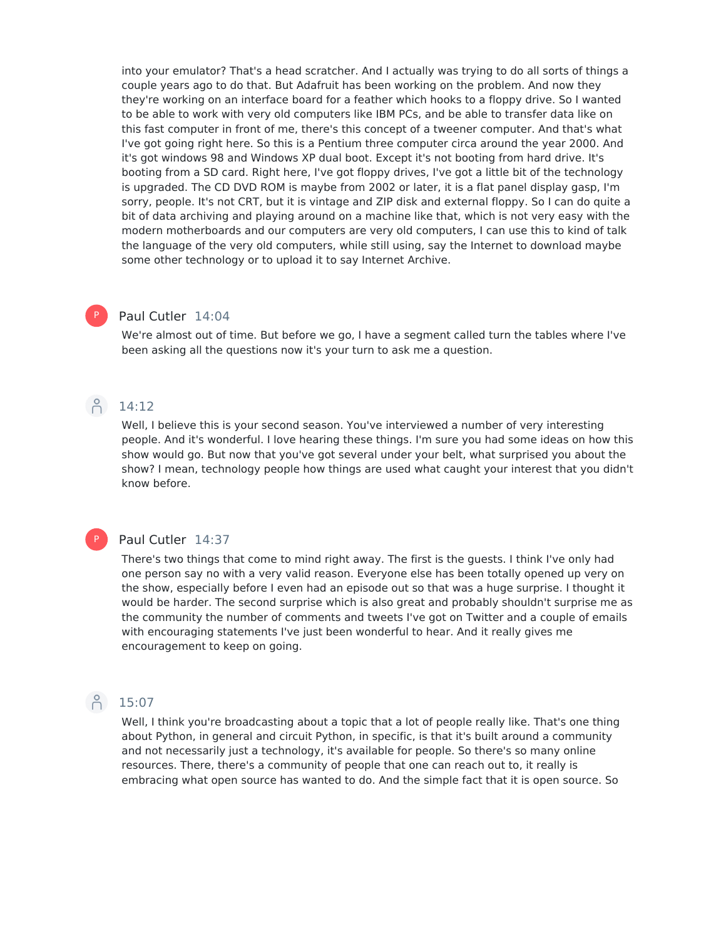into your emulator? That's a head scratcher. And I actually was trying to do all sorts of things a couple years ago to do that. But Adafruit has been working on the problem. And now they they're working on an interface board for a feather which hooks to a floppy drive. So I wanted to be able to work with very old computers like IBM PCs, and be able to transfer data like on this fast computer in front of me, there's this concept of a tweener computer. And that's what I've got going right here. So this is a Pentium three computer circa around the year 2000. And it's got windows 98 and Windows XP dual boot. Except it's not booting from hard drive. It's booting from a SD card. Right here, I've got floppy drives, I've got a little bit of the technology is upgraded. The CD DVD ROM is maybe from 2002 or later, it is a flat panel display gasp, I'm sorry, people. It's not CRT, but it is vintage and ZIP disk and external floppy. So I can do quite a bit of data archiving and playing around on a machine like that, which is not very easy with the modern motherboards and our computers are very old computers, I can use this to kind of talk the language of the very old computers, while still using, say the Internet to download maybe some other technology or to upload it to say Internet Archive.

#### Paul Cutler 14:04

We're almost out of time. But before we go, I have a segment called turn the tables where I've been asking all the questions now it's your turn to ask me a question.

### 14:12

P

Well, I believe this is your second season. You've interviewed a number of very interesting people. And it's wonderful. I love hearing these things. I'm sure you had some ideas on how this show would go. But now that you've got several under your belt, what surprised you about the show? I mean, technology people how things are used what caught your interest that you didn't know before.

#### P

#### Paul Cutler 14:37

There's two things that come to mind right away. The first is the guests. I think I've only had one person say no with a very valid reason. Everyone else has been totally opened up very on the show, especially before I even had an episode out so that was a huge surprise. I thought it would be harder. The second surprise which is also great and probably shouldn't surprise me as the community the number of comments and tweets I've got on Twitter and a couple of emails with encouraging statements I've just been wonderful to hear. And it really gives me encouragement to keep on going.

## 15:07

Well, I think you're broadcasting about a topic that a lot of people really like. That's one thing about Python, in general and circuit Python, in specific, is that it's built around a community and not necessarily just a technology, it's available for people. So there's so many online resources. There, there's a community of people that one can reach out to, it really is embracing what open source has wanted to do. And the simple fact that it is open source. So